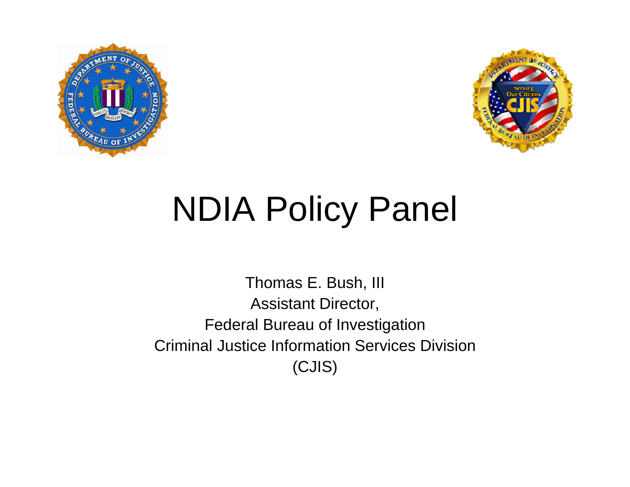



## **NDIA Policy Panel**

Thomas E. Bush, III Assistant Director, Federal Bureau of Investigation Criminal Justice Information Services Division (CJIS)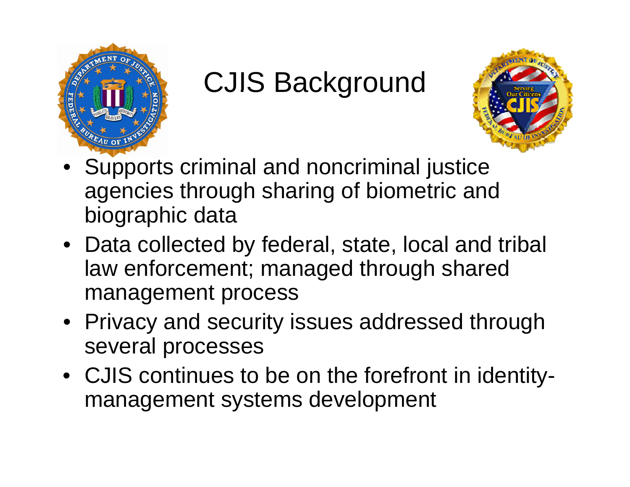

## CJIS Background



- Supports criminal and noncriminal justice agencies through sharing of biometric and biographic data
- Data collected by federal, state, local and tribal law enforcement; managed through shared management process
- Privacy and security issues addressed through several processes
- CJIS continues to be on the forefront in identitymanagement systems development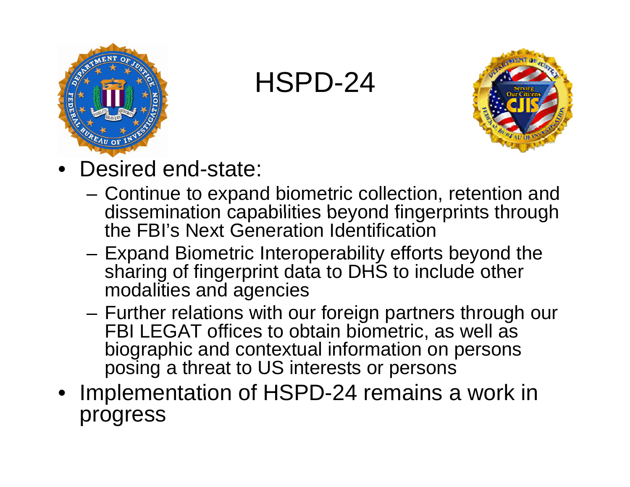

HSPD-24



- Desired end-state:
	- Continue to expand biometric collection, retention and dissemination capabilities beyond fingerprints through the FBI's Next Generation Identification
	- Expand Biometric Interoperability efforts beyond the sharing of fingerprint data to DHS to include other modalities and agencies
	- – Further relations with our foreign partners through our FBI LEGAT offices to obtain biometric, as well as biographic and contextual information on persons posing a threat to US interests or persons
- Implementation of HSPD-24 remains a work in progress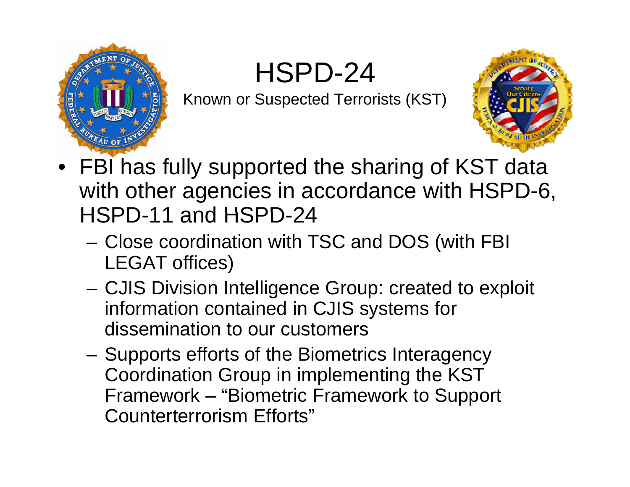HSPD-24



Known or Suspected Terrorists (KST)



- FBI has fully supported the sharing of KST data with other agencies in accordance with HSPD-6, HSPD-11 and HSPD-24
	- Close coordination with TSC and DOS (with FBI LEGAT offices)
	- CJIS Division Intelligence Group: created to exploit information contained in CJIS systems for dissemination to our customers
	- Supports efforts of the Biometrics Interagency Coordination Group in implementing the KST Framework – "Biometric Framework to Support Counterterrorism Efforts"